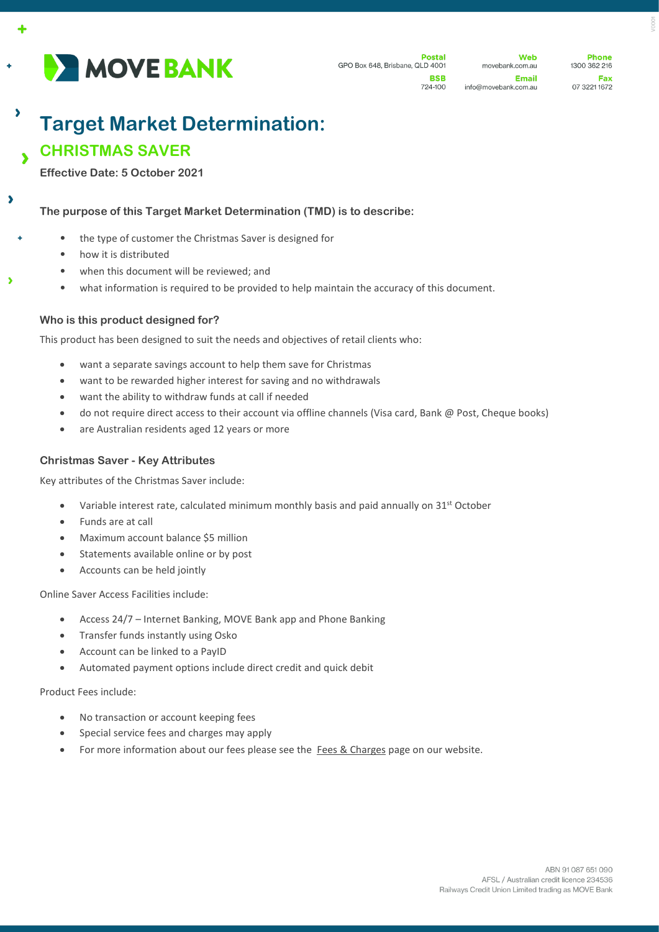

Web movebank.com.au Email info@movebank.com.au

**Phone** 1300 362 216 Fax 07 3221 1672

# **Target Market Determination: CHRISTMAS SAVER**

**Effective Date: 5 October 2021**

 $\overline{\phantom{a}}$ 

 $\overline{\phantom{a}}$ 

٠

**The purpose of this Target Market Determination (TMD) is to describe:**

- the type of customer the Christmas Saver is designed for
	- how it is distributed
	- when this document will be reviewed; and
	- what information is required to be provided to help maintain the accuracy of this document.

### **Who is this product designed for?**

This product has been designed to suit the needs and objectives of retail clients who:

- want a separate savings account to help them save for Christmas
- want to be rewarded higher interest for saving and no withdrawals
- want the ability to withdraw funds at call if needed
- do not require direct access to their account via offline channels (Visa card, Bank @ Post, Cheque books)
- are Australian residents aged 12 years or more

### **Christmas Saver - Key Attributes**

Key attributes of the Christmas Saver include:

- Variable interest rate, calculated minimum monthly basis and paid annually on  $31^{st}$  October
- Funds are at call
- Maximum account balance \$5 million
- Statements available online or by post
- Accounts can be held jointly

Online Saver Access Facilities include:

- Access 24/7 Internet Banking, MOVE Bank app and Phone Banking
- Transfer funds instantly using Osko
- Account can be linked to a PayID
- Automated payment options include direct credit and quick debit

Product Fees include:

- No transaction or account keeping fees
- Special service fees and charges may apply
- For more information about our fees please see the [Fees & Charges](https://movebank.com.au/quick-links/fees-charges/) page on our website.